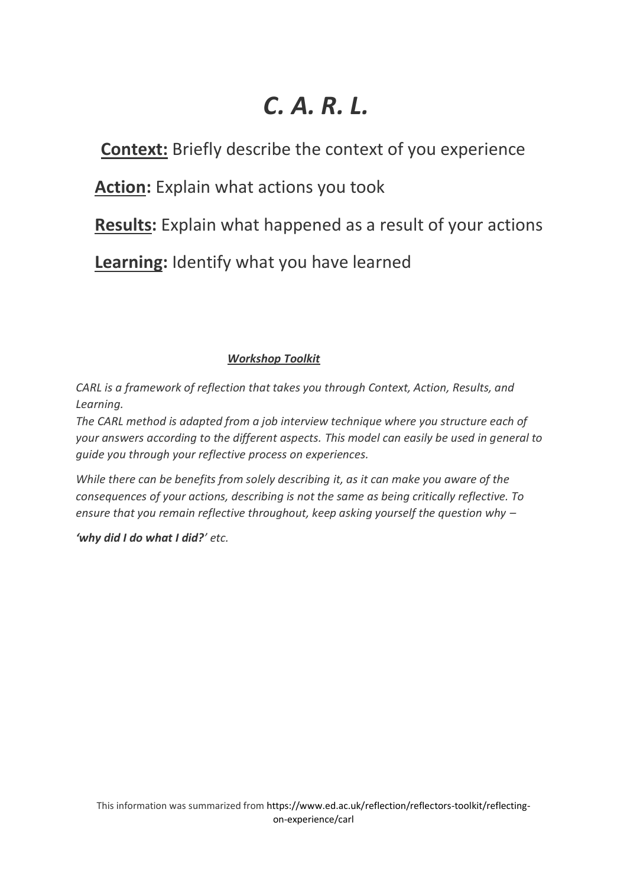# *C. A. R. L.*

**Context:** Briefly describe the context of you experience

**Action:** Explain what actions you took

**Results:** Explain what happened as a result of your actions

**Learning:** Identify what you have learned

# *Workshop Toolkit*

*CARL is a framework of reflection that takes you through Context, Action, Results, and Learning.*

*The CARL method is adapted from a job interview technique where you structure each of your answers according to the different aspects. This model can easily be used in general to guide you through your reflective process on experiences.* 

*While there can be benefits from solely describing it, as it can make you aware of the consequences of your actions, describing is not the same as being critically reflective. To ensure that you remain reflective throughout, keep asking yourself the question why –*

*'why did I do what I did?' etc.*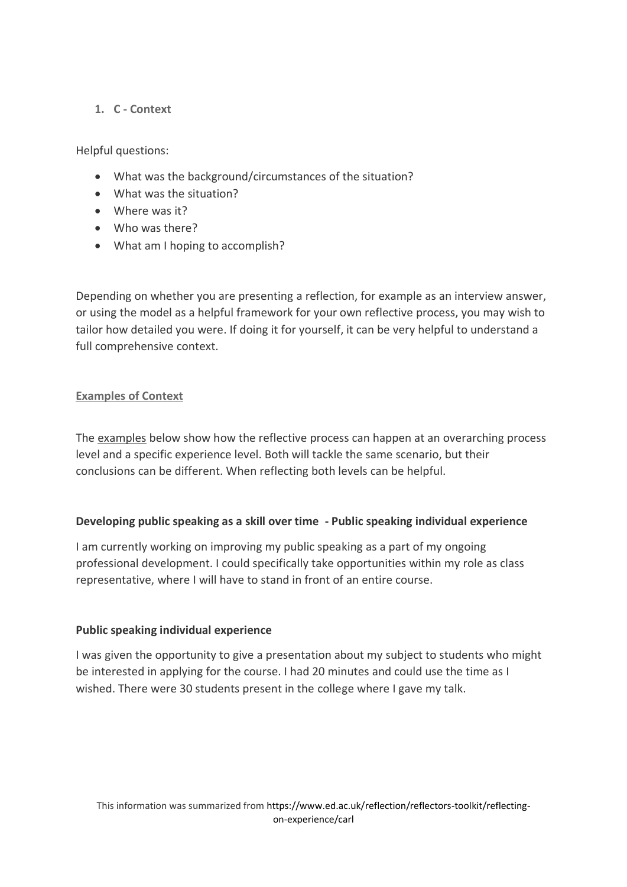# **1. C - Context**

Helpful questions:

- What was the background/circumstances of the situation?
- What was the situation?
- Where was it?
- Who was there?
- What am I hoping to accomplish?

Depending on whether you are presenting a reflection, for example as an interview answer, or using the model as a helpful framework for your own reflective process, you may wish to tailor how detailed you were. If doing it for yourself, it can be very helpful to understand a full comprehensive context.

#### **Examples of Context**

The examples below show how the reflective process can happen at an overarching process level and a specific experience level. Both will tackle the same scenario, but their conclusions can be different. When reflecting both levels can be helpful.

#### **Developing public speaking as a skill over time - Public speaking individual experience**

I am currently working on improving my public speaking as a part of my ongoing professional development. I could specifically take opportunities within my role as class representative, where I will have to stand in front of an entire course.

#### **Public speaking individual experience**

I was given the opportunity to give a presentation about my subject to students who might be interested in applying for the course. I had 20 minutes and could use the time as I wished. There were 30 students present in the college where I gave my talk.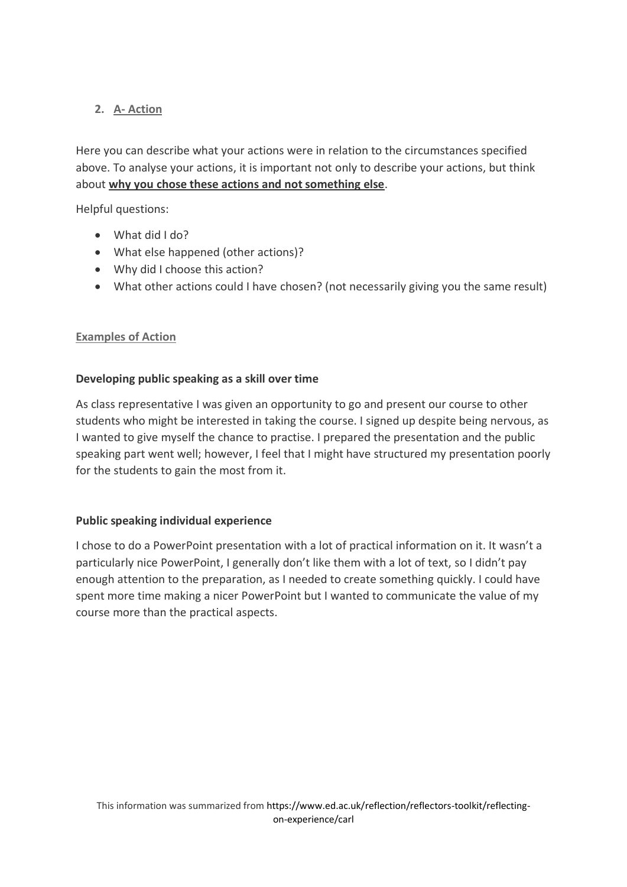# **2. A- Action**

Here you can describe what your actions were in relation to the circumstances specified above. To analyse your actions, it is important not only to describe your actions, but think about **why you chose these actions and not something else**.

Helpful questions:

- What did I do?
- What else happened (other actions)?
- Why did I choose this action?
- What other actions could I have chosen? (not necessarily giving you the same result)

# **Examples of Action**

# **Developing public speaking as a skill over time**

As class representative I was given an opportunity to go and present our course to other students who might be interested in taking the course. I signed up despite being nervous, as I wanted to give myself the chance to practise. I prepared the presentation and the public speaking part went well; however, I feel that I might have structured my presentation poorly for the students to gain the most from it.

## **Public speaking individual experience**

I chose to do a PowerPoint presentation with a lot of practical information on it. It wasn't a particularly nice PowerPoint, I generally don't like them with a lot of text, so I didn't pay enough attention to the preparation, as I needed to create something quickly. I could have spent more time making a nicer PowerPoint but I wanted to communicate the value of my course more than the practical aspects.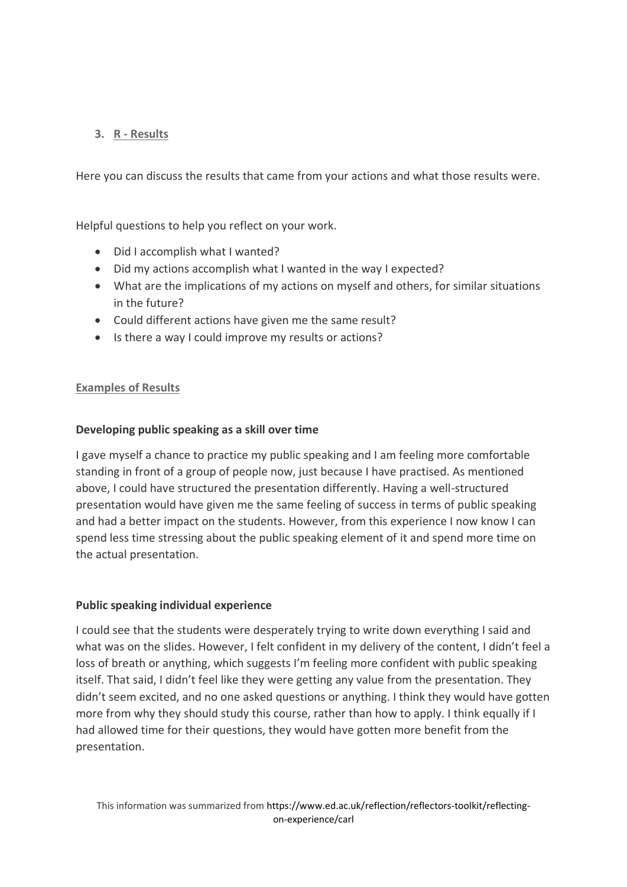# **3. R - Results**

Here you can discuss the results that came from your actions and what those results were.

Helpful questions to help you reflect on your work.

- Did I accomplish what I wanted?
- Did my actions accomplish what I wanted in the way I expected?
- What are the implications of my actions on myself and others, for similar situations in the future?
- Could different actions have given me the same result?
- Is there a way I could improve my results or actions?

## **Examples of Results**

#### **Developing public speaking as a skill over time**

I gave myself a chance to practice my public speaking and I am feeling more comfortable standing in front of a group of people now, just because I have practised. As mentioned above, I could have structured the presentation differently. Having a well-structured presentation would have given me the same feeling of success in terms of public speaking and had a better impact on the students. However, from this experience I now know I can spend less time stressing about the public speaking element of it and spend more time on the actual presentation.

#### **Public speaking individual experience**

I could see that the students were desperately trying to write down everything I said and what was on the slides. However, I felt confident in my delivery of the content, I didn't feel a loss of breath or anything, which suggests I'm feeling more confident with public speaking itself. That said, I didn't feel like they were getting any value from the presentation. They didn't seem excited, and no one asked questions or anything. I think they would have gotten more from why they should study this course, rather than how to apply. I think equally if I had allowed time for their questions, they would have gotten more benefit from the presentation.